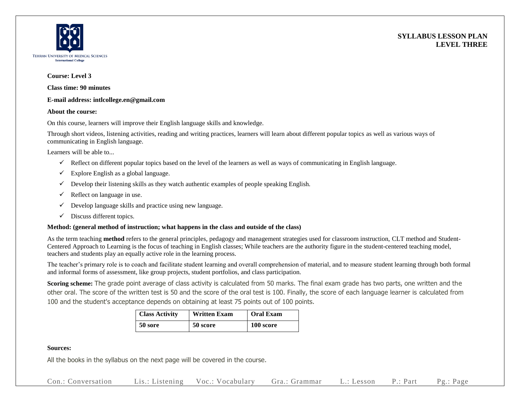



#### **Course: Level 3**

**Class time: 90 minutes**

### **E-mail address: intlcollege.en@gmail.com**

#### **About the course:**

On this course, learners will improve their English language skills and knowledge.

Through short videos, listening activities, reading and writing practices, learners will learn about different popular topics as well as various ways of communicating in English language.

Learners will be able to...

- $\checkmark$  Reflect on different popular topics based on the level of the learners as well as ways of communicating in English language.
- $\checkmark$  Explore English as a global language.
- $\checkmark$  Develop their listening skills as they watch authentic examples of people speaking English.
- $\checkmark$  Reflect on language in use.
- $\checkmark$  Develop language skills and practice using new language.
- $\checkmark$  Discuss different topics.

## **Method: (general method of instruction; what happens in the class and outside of the class)**

As the term teaching **method** refers to the general principles, pedagogy and management strategies used for classroom instruction, CLT method and Student-Centered Approach to Learning is the focus of teaching in English classes; While teachers are the authority figure in the student-centered teaching model, teachers and students play an equally active role in the learning process.

The teacher's primary role is to coach and facilitate student learning and overall comprehension of material, and to measure student learning through both formal and informal forms of assessment, like group projects, student portfolios, and class participation.

**Scoring scheme:** The grade point average of class activity is calculated from 50 marks. The final exam grade has two parts, one written and the other oral. The score of the written test is 50 and the score of the oral test is 100. Finally, the score of each language learner is calculated from 100 and the student's acceptance depends on obtaining at least 75 points out of 100 points.

| <b>Class Activity</b> | <b>Written Exam</b> | <b>Oral Exam</b> |  |
|-----------------------|---------------------|------------------|--|
| 50 sore               | 50 score            | 100 score        |  |

## **Sources:**

All the books in the syllabus on the next page will be covered in the course.

Con.: Conversation Lis.: Listening Voc.: Vocabulary Gra.: Grammar L.: Lesson P.: Part Pg.: Page